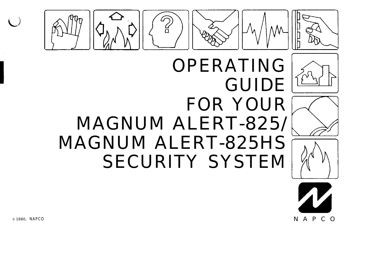



OPERATING







# GUIDE FOR YOUR MAGNUM ALERT-825/ MAGNUM ALERT-825HS SECURITY SYSTEM

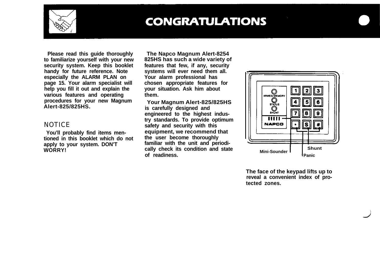

### **CONGRATULATIONS**

**Please read this guide thoroughly to familiarize yourself with your new security system. Keep this booklet handy for future reference. Note especially the ALARM PLAN on page 15. Your alarm specialist will help you fill it out and explain the various features and operating procedures for your new Magnum Alert-825/825HS.**

#### **NOTICE**

**You'll probably find items mentioned in this booklet which do not apply to your system. DON'T WORRY!**

**The Napco Magnum Alert-8254 825HS has such a wide variety of features that few, if any, security systems will ever need them all. Your alarm professional has chosen appropriate features for your situation. Ask him about them.**

**Your Magnum Alert-825/825HS is carefully designed and engineered to the highest industry standards. To provide optimum safety and security with this equipment, we recommend that the user become thoroughly familiar with the unit and periodically check its condition and state of readiness.**



**The face of the keypad lifts up to reveal a convenient index of protected zones.**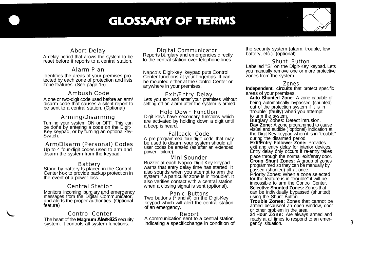### **GLOSSARY OF TERMS**



#### Abort Delay

A delay period that allows the system to be reset before it reports to a central station.

Alarm Plan<br>Identifies the areas of your premises protected by each zone of protection and lists zone features. (See page 15)

#### Ambush Code

A one or two-digit code used before an arm/ disarm code that causes a silent report to be sent to a central station. (Optional)

### Arming/Disarming

Turning your system ON or OFF. This can be done by entering a code on the Digit- Key keypad, or by turning an optional key- Switch.

Arm/Dlsarm (Personal) Codes Up to 4 four-digit codes used to arm and disarm the system from the keypad.

Battery<br>Stand by battery Is placed in the Control Center box to provide backup protection in the event of a power loss.

#### Central Station

Monitors incoming burglary and emergency Monitors incoming burglary and emergency<br>messages from the Digital Communicator, and alerts the proper authorities. (Optional feature)

#### Control Center The heart of the **Magnum Alert-825** security system: it controls all system functions.

Dlgltal Communicator Reports burglary and emergencies directly to the central station over telephone lines.

Napco's Digit-key keypad puts Control Center functions at your fingertips. It can be mounted either at the Control Center or anywhere in your premises.

Exlt/Entry Delay Lets you exit and enter your premises without setting off an alarm after the system is armed.

Hold Down Functlon Digit keys have secondary functions which are activated by holding down a digit until a beep is heard.

Fallback Code A pre-programmed four-digit code that may be used to disarm your system should all user codes be erased (as after an extended power failure).

#### Mlnl-Sounder Buzzer at each Napco Digit-Key keypad warns that entry delay time has started. It also sounds when you attempt to arm the system if a particular zone is in "trouble". It also verifies contact with a central station when a closing signal is sent (optional).

Panic Buttons Two buttons (\* and #) on the Digit-Key keypad which will alert the central station of an emergency.

#### Report<br>A communication sent to a central station indicating a specificchange in condition of

the security system (alarm, trouble, low battery, etc.). (optional)

#### Shunt Button Labelled "S" on the Digit-Key keypad. Lets you manually remove one or more protective zones from the system.

#### Zones

**Independent, circuits** that protect specific areas of your premises.

**Auto Shunted Zone:** A zone capable of being automatically bypassed (shunted) out of the protection system if it is in "trouble" (faulty) when you attempt to arm the system.

Burglary Zones: Detect intrusion.<br>Day Zone: A zone programmed to cause visual and audible ( optional) indication at the Digit-Key keypad when it is in "trouble" during the disarmed period.

**Exlt/Entry Follower Zone:** Provides exit and entry delay for interior devices. Entry delay only occurs if re-entry takes place through the normal exit/entry door. **Group Shunt Zones:** A group of zones programmed so they can be manually by passed (shunted) all at once.

Priority Zones: When a zone selected for the feature is in "trouble" it will be impossible to arm the Control Center. **Selectlve Shunted Zones:** Zones that can be individually bypassed (shunted) using the Shunt Button.

**Trouble Zones:** Zones that cannot be armed becauseof an open window, door or other problem in the area.

24 Hour Zone: Are always armed and ready at all times to respond to an emergency situation. 3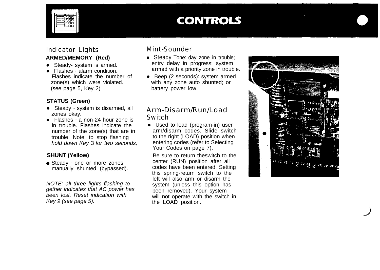

### **CONTROLS**

#### lndicator Lights **ARMED/MEMORY (Red)**

- Steady- system is armed.
- Flashes alarm condition. Flashes indicate the number of zone(s) which were violated. (see page 5, Key 2)

#### **STATUS (Green)**

- Steady system is disarmed, all zones okay.
- $\bullet$  Flashes  $\cdot$  a non-24 hour zone is in trouble. Flashes indicate the number of the zone(s) that are in trouble. Note: to stop flashing *hold down Key* 3 *for two seconds,*

#### **SHUNT (Yellow)**

♦ Steady - one or more zones manually shunted (bypassed).

*NOTE: all three lights flashing together indicates that AC power has been lost. Reset indication with Key 9 (see page 5).*

#### Mint-Sounder

- Steady Tone: day zone in trouble; entry delay in progress; system armed with a priority zone in trouble.
- $\bullet$  Beep (2 seconds): system armed with any zone auto shunted; or battery power low.

#### Arm-Disarm/Run/Load **Switch**

• Used to load (program-in) user arm/disarm codes. Slide switch to the right (LOAD) position when entering codes (refer to Selecting Your Codes on page 7).

Be sure to return theswitch to the center (RUN) position after all codes have been entered. Setting this spring-return switch to the left will also arm or disarm the system (unless this option has been removed). Your system will not operate with the switch in the LOAD position.

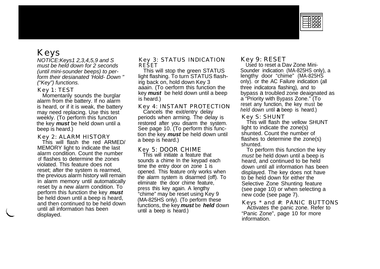

### Keys

*NOTICE:Keys1,2,3,4,5,9 and S must be held down for 2 seconds (until mini-sounder beeps) to perform their desianated 'Hold- Down " ("Key") functions.*

#### Key 1: TEST

Momentarily sounds the burglar alarm from the battery. If no alarm is heard, or if it is weak, the battery may need replacing. Use this test weekly. (To perform this function the key *must* be held down until a beep is heard.)

#### Key 2: ALARM HISTORY

This will flash the red ARMED/ MEMORY light to indicate the last alarm condition. Count the number of flashes to determine the zones violated. This feature does not reset; after the system is rearmed, the previous alarm history will remain in alarm memory until automatically reset by a new alarm condition. To perform this function the key *must* be held down until a beep is heard, and then continued to be held down until all information has been displayed.

#### Key 3: STATUS INDICATION RESET

This will stop the green STATUS light flashing. To turn STATUS flashirig back on, hold down Key 3 aaain. (To oerform this function the key *must* be held down until a beep is heard.)

#### Key 4: INSTANT PROTECTION

Cancels the exit/entry delay periods when arming. The delay is restored after you disarm the system. See page 10. (To perform this function the key *must* be held down until a beep is heard.)

#### Key 5: DOOR CHIME

This will initiate a feature that sounds a chime In the keypad each time the entry door on zone 1 is opened. This feature only works when the alarm system is disarmed (off). To eliminate the door chime feature, press this key again. A lengthy "chime" may be reset using Key 9 (MA-825HS only). (To perform these functions, the key *must* be *held* down until a beep is heard.)

#### Key 9: RESET

Used to reset a Dav Zone Mini-Sounder indication (MA-825HS only), a lengthy door "chime" (MA-825HS only). or the AC Failure indication (all three indicatora flashing), and to<br>bypass a troubled zone deaignated as a "Priority with Bypass Zone." (To reset any function, the key must be *held* down until **a** beep is heard.)

#### Key S: SHUNT

This will flash the vellow SHUNT light to indicate the zone(s) shunted. Count the number of flashes to determine the zone(s) shunted.

To perform this function the key *must* be held down until a beep is heard, and continued to be held down until all information has been displayed. The key does not have to be held down for either the Selective Zone Shunting feature (see page 10) or when selecting a new code (see page 7).

Keys \* and #: PANIC BUTTONS Activates the panic zone. Refer to "Panic Zone", page 10 for more information.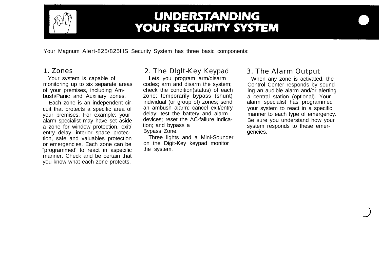

### **UNDERSTANDING YOUR SECURITY SYSTEM**

Your Magnum Alert-825/825HS Security System has three basic components:

#### 1. Zones

Your system is capable of monitoring up to six separate areas of your premises, including Ambush/Panic and Auxiliary zones.

Each zone is an independent circuit that protects a specific area of your premises. For example: your alarm specialist may have set aside a zone for window protection, exit/ entry delay, interior space protection, safe and valuables protection or emergencies. Each zone can be "programmed' to react in aspecific manner. Check and be certain that you know what each zone protects.

### 2. The Dlglt-Key Keypad

Lets you program arm/disarm codes; arm and disarm the system; check the condition(status) of each zone; temporarily bypass (shunt) individual (or group of) zones; send an ambush alarm; cancel exit/entry delay; test the battery and alarm devices; reset the AC-failure indication; and bypass a Bypass Zone.

Three lights and a Mini-Sounder on the Digit-Key keypad monitor the system.

#### 3. The Alarm Output

When any zone is activated, the Control Center responds by sounding an audible alarm and/or alerting a central station (optional). Your alarm specialist has programmed your system to react in a specific manner to each type of emergency. Be sure you understand how your system responds to these emergencies.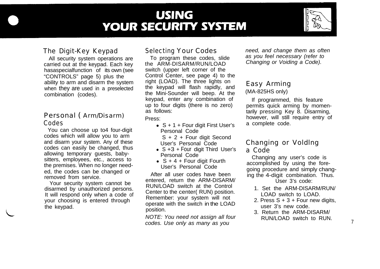## **USING YOUR SECURITY SYSTEM**



#### The Digit-Key Keypad

All security system operations are carried out at the keypad. Each key hasaspecialfunction of its own (see "CONTROLS" page 5) plus the ability to arm and disarm the system when they are used in a preselected combination (codes).

#### Personal ( Arm/Disarm) Codes

You can choose up to4 four-digit codes which will allow you to arm and disarm your system. Any of these codes can easily be changed, thus allowing temporary guests, babysitters, employees, etc., access to the premises. When no longer needed, the codes can be changed or removed from service.

Your security system cannot be disarmed by unauthorized persons. It will respond only when a code of your choosing is entered through the keypad.

#### Selecting Your Codes

To program these codes, slide the ARM-DISARM/RUN/LOAD switch (upper left corner of the Control Center, see page 4) to the right (LOAD). The three lights on the keypad will flash rapidly, and the Mini-Sounder will beep. At the keypad, enter any combination of up to four digits (there is no zero) as follows:

Press:

- $\bullet$  S + 1 + Four digit First User's Personal Code
	- S + 2 + Four digit Second User's Personal Code
- $S +3 +$  Four digit Third User's Personal Code
- $S + 4 +$  Four digit Fourth User's Personal Code

After all user codes have been entered, return the ARM-DISARM/ RUN/LOAD switch at the Control Center to the center( RUN) position. Remember: your system will not operate with the switch in the LOAD position.

*NOTE: You need not assign all four codes. Use only as many as you*

*need, and change them as often as you feel necessary (refer to Changing or Voiding a Code).*

#### Easy Arming (MA-825HS only)

If programmed, this feature permits quick arming by momentarily pressing Key 8. Disarming, however, will still require entry of a complete code.

#### Changing or Voldlng a Code

Changing any user's code is accomplished by using the foregoing procedure and simply changing the 4-digit combination. Thus.

 $User 3's code:$ 

- 1. Set the ARM-DISARM/RUN/ LOAD switch to LOAD.
- 2. Press  $S + 3 +$  Four new digits, user 3's new code.
- 3. Return the ARM-DISARM/ RUN/LOAD switch to RUN.  $\frac{7}{1}$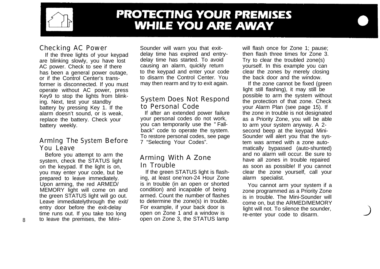

### **PROTECTING YOUR PREMISES WHILE YOU ARE AWAY**

#### Checking AC Power

If the three lights of your keypad are blinking slowly, you have lost AC power. Check to see if there has been a general power outage, or if the Control Center's transformer is disconnected. If you must operate without AC power, press Key9 to stop the lights from blinking. Next, test your standby battery by pressing Key 1. If the alarm doesn't sound, or is weak, replace the battery. Check your battery weekly.

#### Armlng The System Before You Leave

Before you attempt to arm the system, check the STATUS light on the keypad. If the light is on, you may enter your code, but be prepared to leave immediately. Upon arming, the red ARMED/ MEMORY light will come on and the green STATUS light will go out. Leave immediatelythrough the exit/ entry door before the exit-delay time runs out. If you take too long 8 to leave the premises, the MiniSounder will warn you that exitdelay time has expired and entrydelay time has started. To avoid causing an alarm, quickly return to the keypad and enter your code to disarm the Control Center. You may then rearm and try to exit again.

#### System Does Not Respond to Personal Code

If after an extended power failure your personal codes do not work, you can temporarily use the " Fallback" code to operate the system. To restore personal codes, see page 7 "Selecting Your Codes".

#### Arming With A Zone In Trouble

If the green STATUS light is flashing, at least one'non-24 Hour Zone is in trouble (in an open or shorted condition) and incapable of being armed. Count the number of flashes to determine the zone(s) in trouble. For example, if your back door is open on Zone 1 and a window is open on Zone 3, the STATUS lamp

will flash once for Zone 1; pause; then flash three times for Zone 3. Try to clear the troubled zone(s) yourself. In this example you can clear the zones by merely closing the back door and the window.

If the zone cannot be fixed (green light still flashing), it may still be possible to arm the system without the protection of that zone. Check your Alarm Plan (see page 15). If the zone in trouble is not designated as a Priority Zone, you will be able to arm your system anyway. A 2 second beep at the keypad Mini-Sounder will alert you that the system was armed with a zone automatically bypassed (auto-shunted) and no alarm will occur. Be sure to have all zones in trouble repaired as soon as possible! If you cannot clear the zone yourself, call your alarm specialist.

You cannot arm your system if a zone programmed as a Priority Zone is in trouble. The Mini-Sounder will come on, but the ARMED/MEMORY light will not. To silence the sounder, re-enter your code to disarm.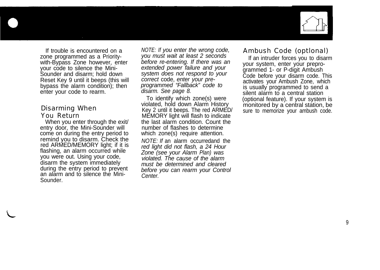

If trouble is encountered on a zone programmed as a Prioritywith-Bypass Zone however, enter your code to silence the Mini-Sounder and disarm; hold down Reset Key 9 until it beeps (this will bypass the alarm condition); then enter your code to rearm.

#### Disarming When You Return

When you enter through the exit/ entry door, the Mini-Sounder will come on during the entry period to remind you to disarm. Check the red ARMED/MEMORY light; if it is flashing, an alarm occurred while you were out. Using your code, disarm the system immediately during the entry period to prevent an alarm and to silence the Mini-Sounder.

*NOTE: If you enter the wrong code, you must wait at least 2 seconds before re-entering. If there was an extended power failure and your system does not respond to your correct* code, *enter your preprogrammed "Fallback" code to disarm. See page 8.*

To identify which zone(s) were violated, hold down Alarm History Key 2 until it beeps. The red ARMED/ MEMORY light will flash to indicate the last alarm condition. Count the number of flashes to determine which zone(s) require attention. *NOTE: If* an alarm occurredand the *red light did not flash, a 24 Hour Zone (see your Alarm Plan) was violated. The cause of the alarm must be determined and cleared before you can rearm your Control Center.*

#### Ambush Code (optlonal)

If an intruder forces you to disarm your system, enter your preprogrammed 1- or P-digit Ambush Code before your disarm code. This activates your Ambush Zone, which is usually programmed to send a silent alarm to a central station (optional feature). If your system is monitored by a central station, be sure to memorize your ambush code.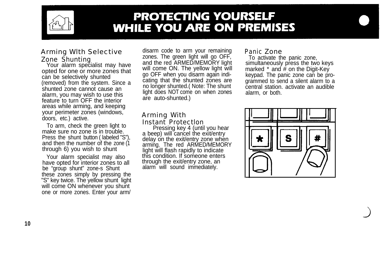

### **PROTECTING YOURSELF WHILE YOU ARE ON PREMISES**

### Arming Wlth Selective Zone Shunting<br>Your alarm specialist may have

opted for one or more zones that can be selectively shunted (removed) from the system. Since a shunted zone cannot cause an alarm, you may wish to use this feature to turn OFF the interior areas while arming, and keeping your perimeter zones (windows, doors, etc.) active.

To arm, check the green light to make sure no zone is in trouble. Press the shunt button ( labeled "S"), and then the number of the zone (1 through 6) you wish to shunt

Your alarm specialist may also have opted for interior zones to all be "group shunt" zone-s Shunt these zones simply by pressing the "S" key twice. The yellow shunt light will come ON whenever you shunt one or more zones. Enter your arm/

disarm code to arm your remaining zones. The green light will go OFF, and the red ARMED/MEMORY light will come ON. The yellow light will go OFF when you disarm again indicating that the shunted zones are no longer shunted.( Note: The shunt light does NOT come on when zones are auto-shunted.)

#### Arming With

Instant Protectlon Pressing key 4 (until you hear a beep) will cancel the exit/entry delay on the exit/entry zone when arming. The red ARMED/MEMORY light will flash rapidly to indicate this condition. If someone enters through the exit/entry zone, an alarm will sound immediately.

#### Panic Zone

To activate the panic zone, simultaneously press the two keys marked  $*$  and  $#$  on the Digit-Key keypad. The panic zone can be programmed to send a silent alarm to a central station. activate an audible alarm, or both.

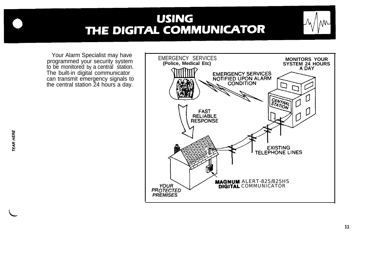### **USING** THE DIGITAL COMMUNICATOR

Your Alarm Specialist may have programmed your security system to be monitored by a central station. The built-in digital communicator can transmit emergency signals to the central station 24 hours a day.

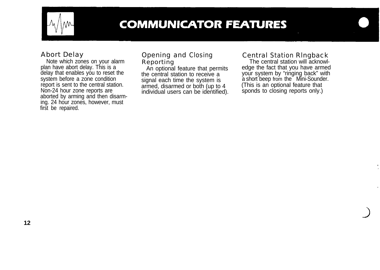

### **COMMUNICATOR FEATURES**

#### Abort Delay

Note which zones on your alarm plan have abort delay. This is a delay that enables you to reset the system before a zone condition report is sent to the central station. Non-24 hour zone reports are aborted by arming and then disarming. 24 hour zones, however, must first be repaired.

#### Opening and Closing Reporting

An optional feature that permits the central station to receive a signal each time the system is armed, disarmed or both (up to 4 individual users can be identified).

#### Central Station Rlngback

The central station will acknowledge the fact that you have armed your system by "ringing back" with a short beep from the Mini-Sounder. (This is an optional feature that sponds to closing reports only.)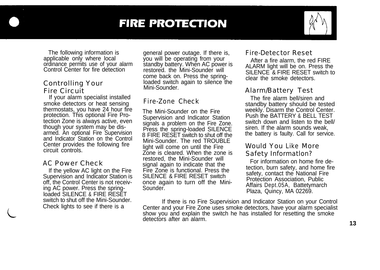### **FIRE PROTECTION**



The following information is applicable only where local ordinance permits use of your alarm Control Center for fire detection

#### Controlling Your Fire Circuit

If your alarm specialist installed smoke detectors or heat sensing thermostats, you have 24 hour fire protection. This optional Fire Protection Zone is always active, even though your system may be disarmed. An optional Fire Supervision and Indicator Station on the Control Center provides the following fire circuit controls.

#### AC Power Check

If the yellow AC light on the Fire Supervision and Indicator Station is off, the Control Center is not receiving AC power. Press the springloaded SILENCE & FIRE RESET switch to shut off the Mini-Sounder. Check lights to see if there is a

general power outage. If there is, you will be operating from your standby battery. When AC power is restored. the Mini-Sounder will come back on. Press the springloaded switch again to silence the Mini-Sounder.

#### Fire-Zone Check

The Mini-Sounder on the Fire Supervision and Indicator Station signals a problem on the Fire Zone. Press the spring-loaded SILENCE 8 FIRE RESET switch to shut off the Mini-Sounder. The red TROUBLE light will come on until the Fire Zone is cleared. When the zone is restored, the Mini-Sounder will signal again to indicate that the Fire Zone is functional. Press the SILENCE & FIRE RESET switch once again to turn off the Mini-Sounder.

#### Fire-Detector Reset

After a fire alarm, the red FIRE ALARM light will be on. Press the SILENCE & FIRE RESET switch to clear the smoke detectors.

#### Alarm/Battery Test

The fire alarm bell/siren and standby battery should be tested weekly. Disarm the Control Center. Push the BATTERY & BELL TEST switch down and listen to the bell/ siren. If the alarm sounds weak, the battery is faulty. Call for service.

#### Would You Like More Safety Informatlon?

For information on home fire detection, burn safety, and home fire safety, contact the National Fire Protection Association, Public Affairs Dept.05A, Battetymarch Plaza, Quincy, MA 02269.

If there is no Fire Supervision and Indicator Station on your Control Center and your Fire Zone uses smoke detectors, have your alarm specialist show you and explain the switch he has installed for resetting the smoke detectors after an alarm. **13**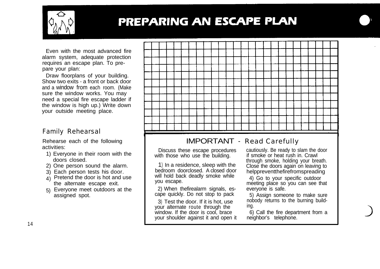

## PREPARING AN ESCAPE PLAN

Even with the most advanced fire alarm system, adequate protection requires an escape plan. To prepare your plan:

Draw floorplans of your building. Show two exits - a front or back door and a window from each room. (Make sure the window works. You may need a special fire escape ladder if the window is high up.) Write down your outside meeting place.

#### Family Rehearsal

Rehearse each of the following activities:

- 1) Everyone in their room with the doors closed.
- 2) One person sound the alarm.
- 3) Each person tests his door.
- 4) Pretend the door is hot and use the alternate escape exit.
- 5) Everyone meet outdoors at the assigned spot.



### IMPORTANT - Read Carefully

Discuss these escape procedures with those who use the building.

1) In a residence, sleep with the bedroom doorclosed. A closed door will hold back deadly smoke while you escape.

2) When thefirealarm signals, escape quickly. Do not stop to pack

3) Test the door. If it is hot, use your alternate route through the window. If the door is cool, brace your shoulder against it and open it cautiously. Be ready to slam the door if smoke or heat rush in. Crawl through smoke, holding your breath. Close the doors again on leaving to helppreventthefirefromspreading

4) Go to your specific outdoor meeting place so you can see that everyone is safe.

5) Assign someone to make sure nobody returns to the burning building.

6) Call the fire department from a neighbor's telephone.